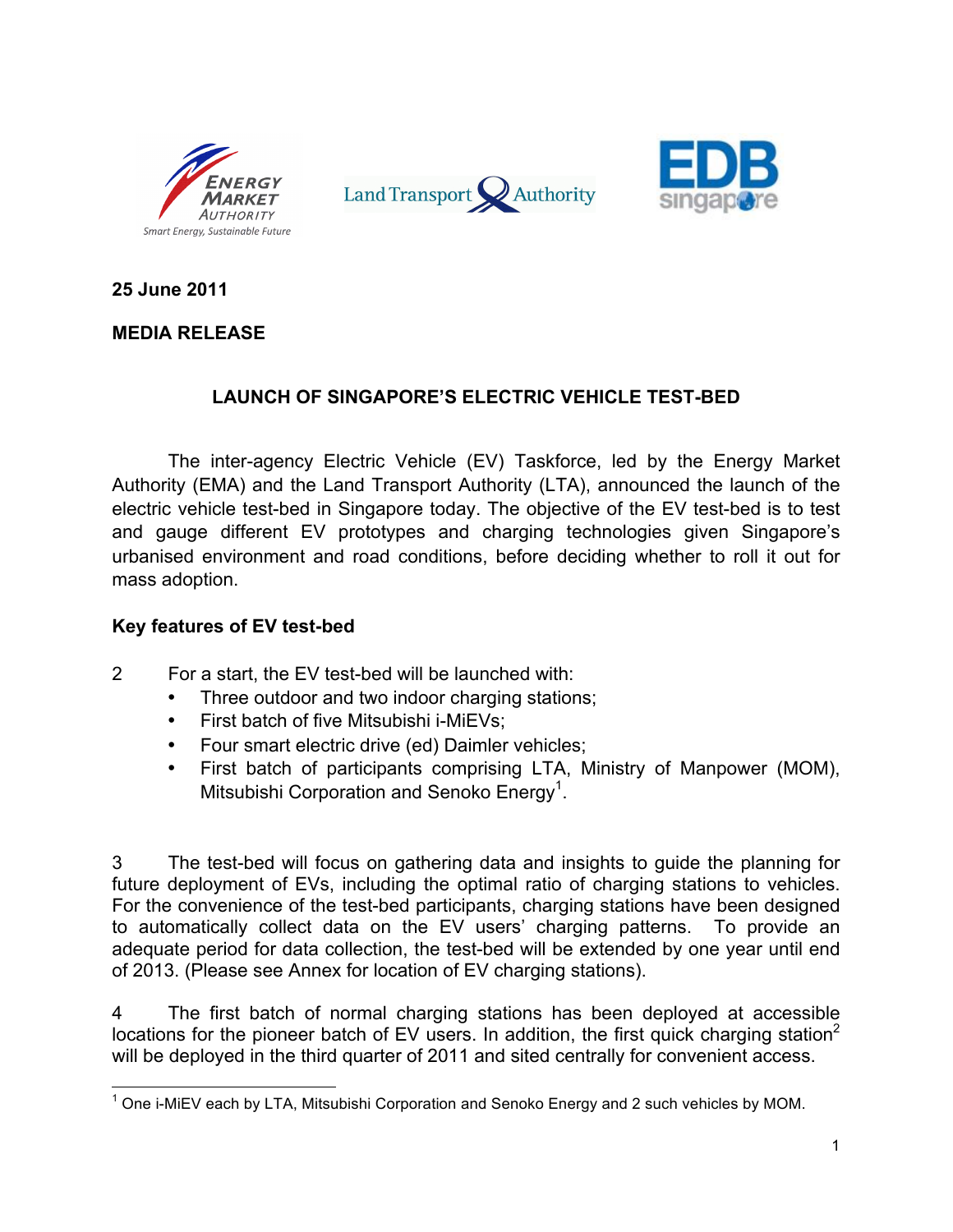





**25 June 2011**

# **MEDIA RELEASE**

# **LAUNCH OF SINGAPORE'S ELECTRIC VEHICLE TEST-BED**

The inter-agency Electric Vehicle (EV) Taskforce, led by the Energy Market Authority (EMA) and the Land Transport Authority (LTA), announced the launch of the electric vehicle test-bed in Singapore today. The objective of the EV test-bed is to test and gauge different EV prototypes and charging technologies given Singapore's urbanised environment and road conditions, before deciding whether to roll it out for mass adoption.

#### **Key features of EV test-bed**

- 2 For a start, the EV test-bed will be launched with:
	- Three outdoor and two indoor charging stations;
	- First batch of five Mitsubishi i-MiEVs;
	- Four smart electric drive (ed) Daimler vehicles;
	- First batch of participants comprising LTA, Ministry of Manpower (MOM), Mitsubishi Corporation and Senoko Energy<sup>1</sup>.

3 The test-bed will focus on gathering data and insights to guide the planning for future deployment of EVs, including the optimal ratio of charging stations to vehicles. For the convenience of the test-bed participants, charging stations have been designed to automatically collect data on the EV users' charging patterns. To provide an adequate period for data collection, the test-bed will be extended by one year until end of 2013. (Please see Annex for location of EV charging stations).

4 The first batch of normal charging stations has been deployed at accessible locations for the pioneer batch of EV users. In addition, the first quick charging station<sup>2</sup> will be deployed in the third quarter of 2011 and sited centrally for convenient access.

 $1$  One i-MiEV each by LTA, Mitsubishi Corporation and Senoko Energy and 2 such vehicles by MOM.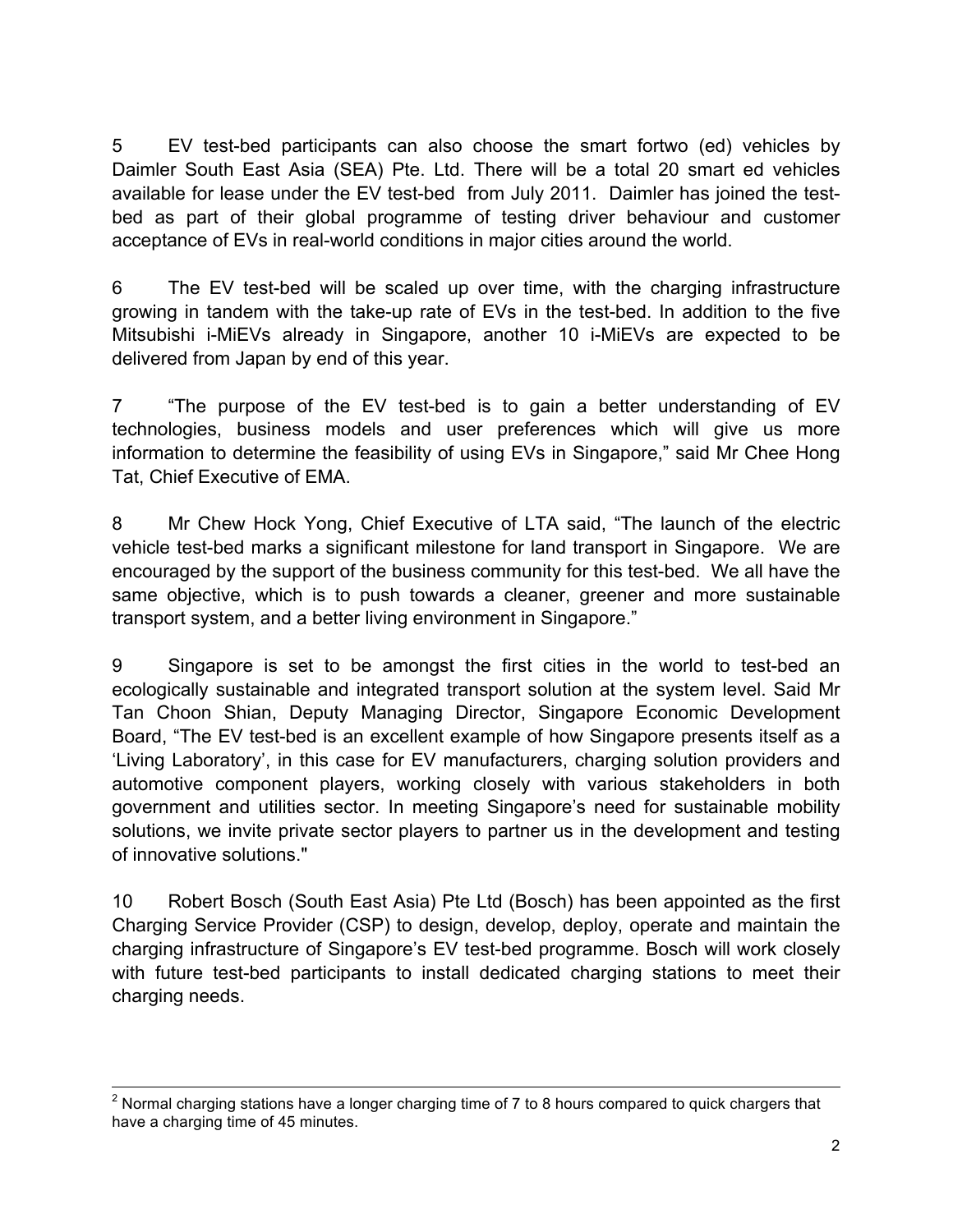5 EV test-bed participants can also choose the smart fortwo (ed) vehicles by Daimler South East Asia (SEA) Pte. Ltd. There will be a total 20 smart ed vehicles available for lease under the EV test-bed from July 2011. Daimler has joined the testbed as part of their global programme of testing driver behaviour and customer acceptance of EVs in real-world conditions in major cities around the world.

6 The EV test-bed will be scaled up over time, with the charging infrastructure growing in tandem with the take-up rate of EVs in the test-bed. In addition to the five Mitsubishi i-MiEVs already in Singapore, another 10 i-MiEVs are expected to be delivered from Japan by end of this year.

7 "The purpose of the EV test-bed is to gain a better understanding of EV technologies, business models and user preferences which will give us more information to determine the feasibility of using EVs in Singapore," said Mr Chee Hong Tat, Chief Executive of EMA.

8 Mr Chew Hock Yong, Chief Executive of LTA said, "The launch of the electric vehicle test-bed marks a significant milestone for land transport in Singapore. We are encouraged by the support of the business community for this test-bed. We all have the same objective, which is to push towards a cleaner, greener and more sustainable transport system, and a better living environment in Singapore."

9 Singapore is set to be amongst the first cities in the world to test-bed an ecologically sustainable and integrated transport solution at the system level. Said Mr Tan Choon Shian, Deputy Managing Director, Singapore Economic Development Board, "The EV test-bed is an excellent example of how Singapore presents itself as a 'Living Laboratory', in this case for EV manufacturers, charging solution providers and automotive component players, working closely with various stakeholders in both government and utilities sector. In meeting Singapore's need for sustainable mobility solutions, we invite private sector players to partner us in the development and testing of innovative solutions."

10 Robert Bosch (South East Asia) Pte Ltd (Bosch) has been appointed as the first Charging Service Provider (CSP) to design, develop, deploy, operate and maintain the charging infrastructure of Singapore's EV test-bed programme. Bosch will work closely with future test-bed participants to install dedicated charging stations to meet their charging needs.

 $2$  Normal charging stations have a longer charging time of 7 to 8 hours compared to quick chargers that have a charging time of 45 minutes.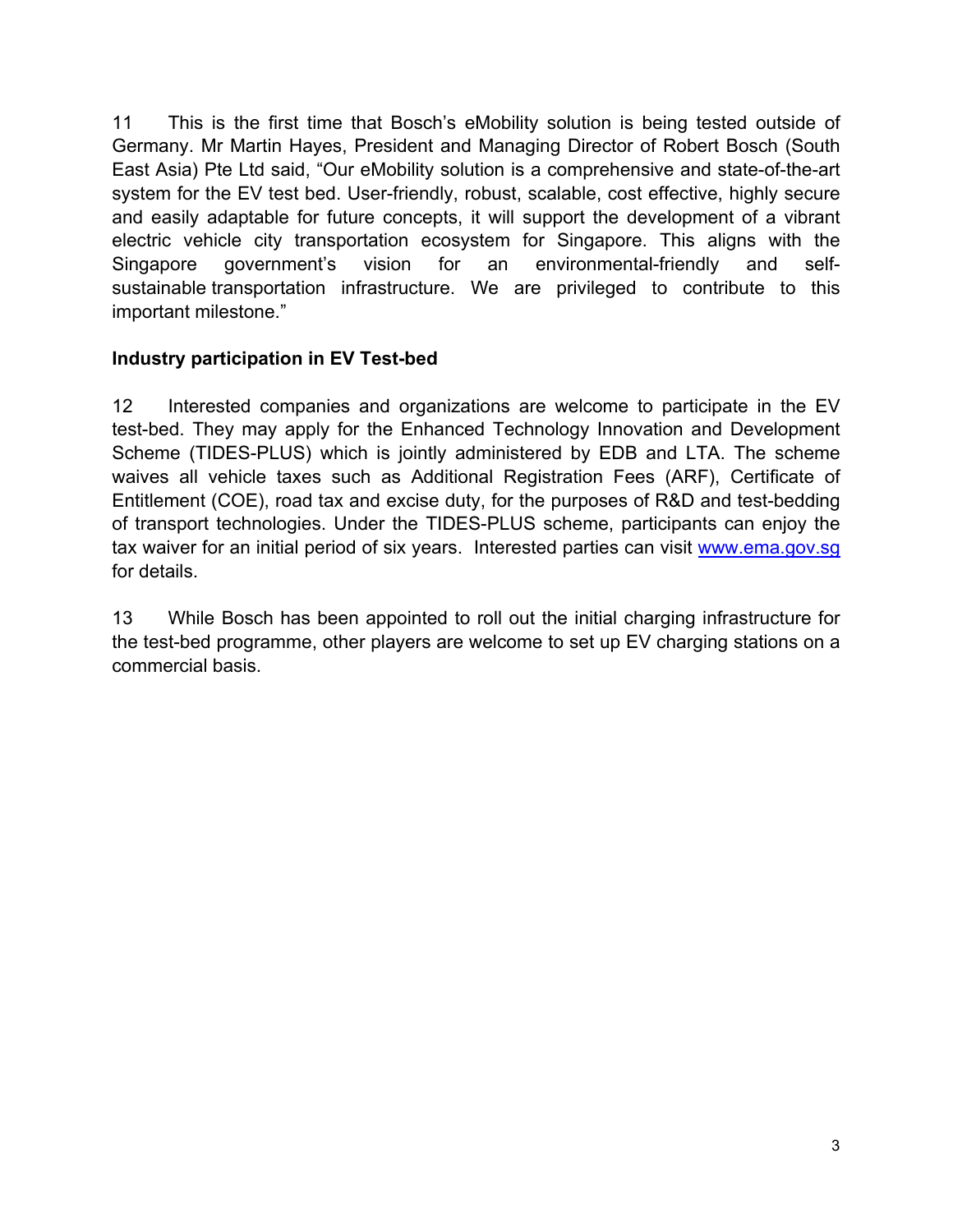11 This is the first time that Bosch's eMobility solution is being tested outside of Germany. Mr Martin Hayes, President and Managing Director of Robert Bosch (South East Asia) Pte Ltd said, "Our eMobility solution is a comprehensive and state-of-the-art system for the EV test bed. User-friendly, robust, scalable, cost effective, highly secure and easily adaptable for future concepts, it will support the development of a vibrant electric vehicle city transportation ecosystem for Singapore. This aligns with the Singapore government's vision for an environmental-friendly and selfsustainable transportation infrastructure. We are privileged to contribute to this important milestone."

# **Industry participation in EV Test-bed**

12 Interested companies and organizations are welcome to participate in the EV test-bed. They may apply for the Enhanced Technology Innovation and Development Scheme (TIDES-PLUS) which is jointly administered by EDB and LTA. The scheme waives all vehicle taxes such as Additional Registration Fees (ARF), Certificate of Entitlement (COE), road tax and excise duty, for the purposes of R&D and test-bedding of transport technologies. Under the TIDES-PLUS scheme, participants can enjoy the tax waiver for an initial period of six years. Interested parties can visit www.ema.gov.sg for details.

13 While Bosch has been appointed to roll out the initial charging infrastructure for the test-bed programme, other players are welcome to set up EV charging stations on a commercial basis.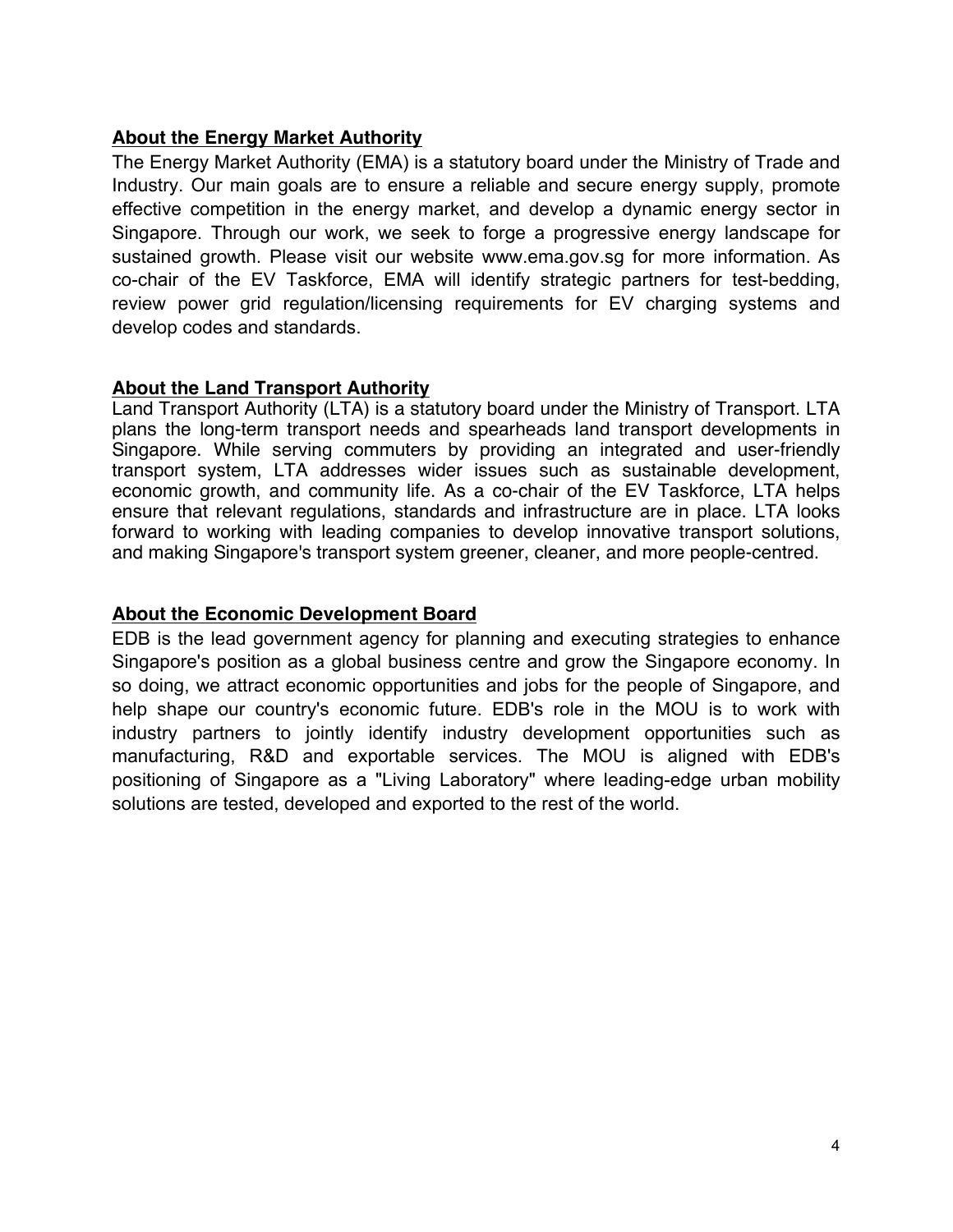#### **About the Energy Market Authority**

The Energy Market Authority (EMA) is a statutory board under the Ministry of Trade and Industry. Our main goals are to ensure a reliable and secure energy supply, promote effective competition in the energy market, and develop a dynamic energy sector in Singapore. Through our work, we seek to forge a progressive energy landscape for sustained growth. Please visit our website www.ema.gov.sg for more information. As co-chair of the EV Taskforce, EMA will identify strategic partners for test-bedding, review power grid regulation/licensing requirements for EV charging systems and develop codes and standards.

#### **About the Land Transport Authority**

Land Transport Authority (LTA) is a statutory board under the Ministry of Transport. LTA plans the long-term transport needs and spearheads land transport developments in Singapore. While serving commuters by providing an integrated and user-friendly transport system, LTA addresses wider issues such as sustainable development, economic growth, and community life. As a co-chair of the EV Taskforce, LTA helps ensure that relevant regulations, standards and infrastructure are in place. LTA looks forward to working with leading companies to develop innovative transport solutions, and making Singapore's transport system greener, cleaner, and more people-centred.

# **About the Economic Development Board**

EDB is the lead government agency for planning and executing strategies to enhance Singapore's position as a global business centre and grow the Singapore economy. In so doing, we attract economic opportunities and jobs for the people of Singapore, and help shape our country's economic future. EDB's role in the MOU is to work with industry partners to jointly identify industry development opportunities such as manufacturing, R&D and exportable services. The MOU is aligned with EDB's positioning of Singapore as a "Living Laboratory" where leading-edge urban mobility solutions are tested, developed and exported to the rest of the world.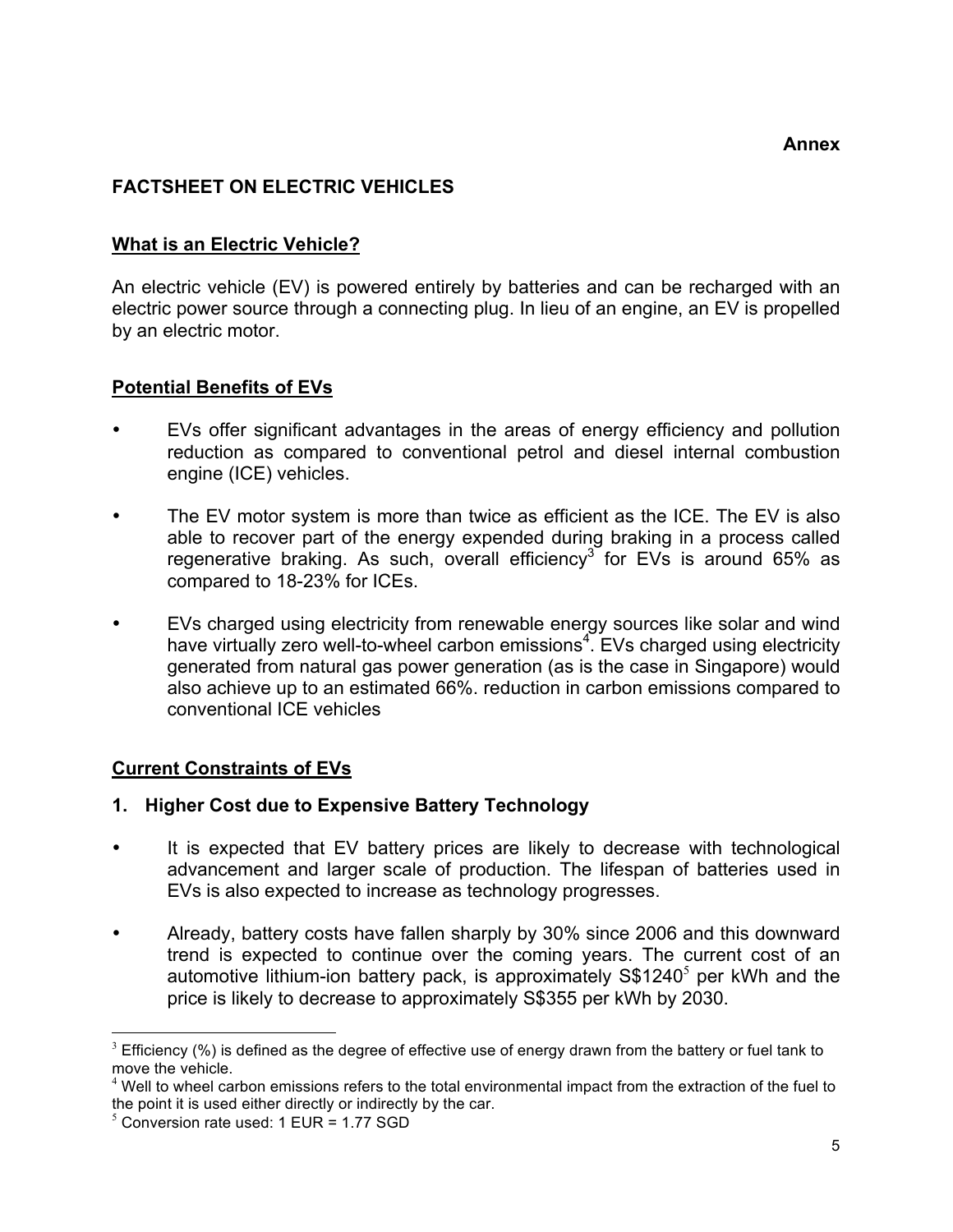# **FACTSHEET ON ELECTRIC VEHICLES**

#### **What is an Electric Vehicle?**

An electric vehicle (EV) is powered entirely by batteries and can be recharged with an electric power source through a connecting plug. In lieu of an engine, an EV is propelled by an electric motor.

# **Potential Benefits of EVs**

- EVs offer significant advantages in the areas of energy efficiency and pollution reduction as compared to conventional petrol and diesel internal combustion engine (ICE) vehicles.
- The EV motor system is more than twice as efficient as the ICE. The EV is also able to recover part of the energy expended during braking in a process called regenerative braking. As such, overall efficiency<sup>3</sup> for EVs is around 65% as compared to 18-23% for ICEs.
- EVs charged using electricity from renewable energy sources like solar and wind have virtually zero well-to-wheel carbon emissions<sup>4</sup>. EVs charged using electricity generated from natural gas power generation (as is the case in Singapore) would also achieve up to an estimated 66%. reduction in carbon emissions compared to conventional ICE vehicles

# **Current Constraints of EVs**

# **1. Higher Cost due to Expensive Battery Technology**

- It is expected that EV battery prices are likely to decrease with technological advancement and larger scale of production. The lifespan of batteries used in EVs is also expected to increase as technology progresses.
- Already, battery costs have fallen sharply by 30% since 2006 and this downward trend is expected to continue over the coming years. The current cost of an automotive lithium-ion battery pack, is approximately  $S$1240<sup>5</sup>$  per kWh and the price is likely to decrease to approximately S\$355 per kWh by 2030.

<sup>&</sup>lt;sup>3</sup>  $3$  Efficiency (%) is defined as the degree of effective use of energy drawn from the battery or fuel tank to move the vehicle.

<sup>&</sup>lt;sup>4</sup> Well to wheel carbon emissions refers to the total environmental impact from the extraction of the fuel to the point it is used either directly or indirectly by the car.

 $<sup>5</sup>$  Conversion rate used: 1 EUR = 1.77 SGD</sup>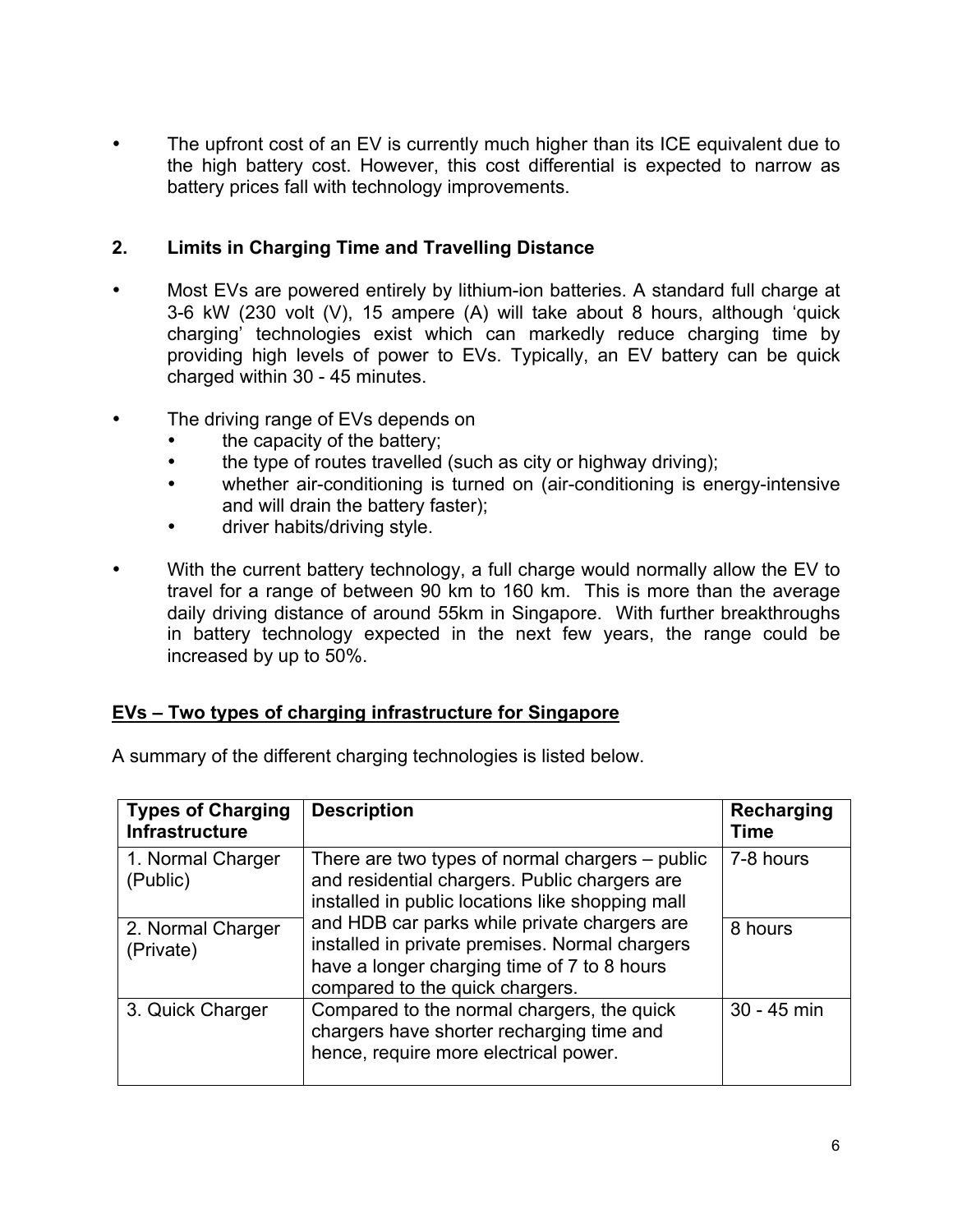The upfront cost of an EV is currently much higher than its ICE equivalent due to the high battery cost. However, this cost differential is expected to narrow as battery prices fall with technology improvements.

# **2. Limits in Charging Time and Travelling Distance**

- Most EVs are powered entirely by lithium-ion batteries. A standard full charge at 3-6 kW (230 volt (V), 15 ampere (A) will take about 8 hours, although 'quick charging' technologies exist which can markedly reduce charging time by providing high levels of power to EVs. Typically, an EV battery can be quick charged within 30 - 45 minutes.
- The driving range of EVs depends on
	- the capacity of the battery;
	- the type of routes travelled (such as city or highway driving);
	- whether air-conditioning is turned on (air-conditioning is energy-intensive and will drain the battery faster);
	- driver habits/driving style.
- With the current battery technology, a full charge would normally allow the EV to travel for a range of between 90 km to 160 km. This is more than the average daily driving distance of around 55km in Singapore. With further breakthroughs in battery technology expected in the next few years, the range could be increased by up to 50%.

# **EVs – Two types of charging infrastructure for Singapore**

| A summary of the different charging technologies is listed below. |  |  |
|-------------------------------------------------------------------|--|--|
|                                                                   |  |  |

| <b>Types of Charging</b><br><b>Infrastructure</b> | <b>Description</b>                                                                                                                                                               | Recharging<br>Time |
|---------------------------------------------------|----------------------------------------------------------------------------------------------------------------------------------------------------------------------------------|--------------------|
| 1. Normal Charger<br>(Public)                     | There are two types of normal chargers – public<br>and residential chargers. Public chargers are<br>installed in public locations like shopping mall                             | 7-8 hours          |
| 2. Normal Charger<br>(Private)                    | and HDB car parks while private chargers are<br>installed in private premises. Normal chargers<br>have a longer charging time of 7 to 8 hours<br>compared to the quick chargers. | 8 hours            |
| 3. Quick Charger                                  | Compared to the normal chargers, the quick<br>chargers have shorter recharging time and<br>hence, require more electrical power.                                                 | 30 - 45 min        |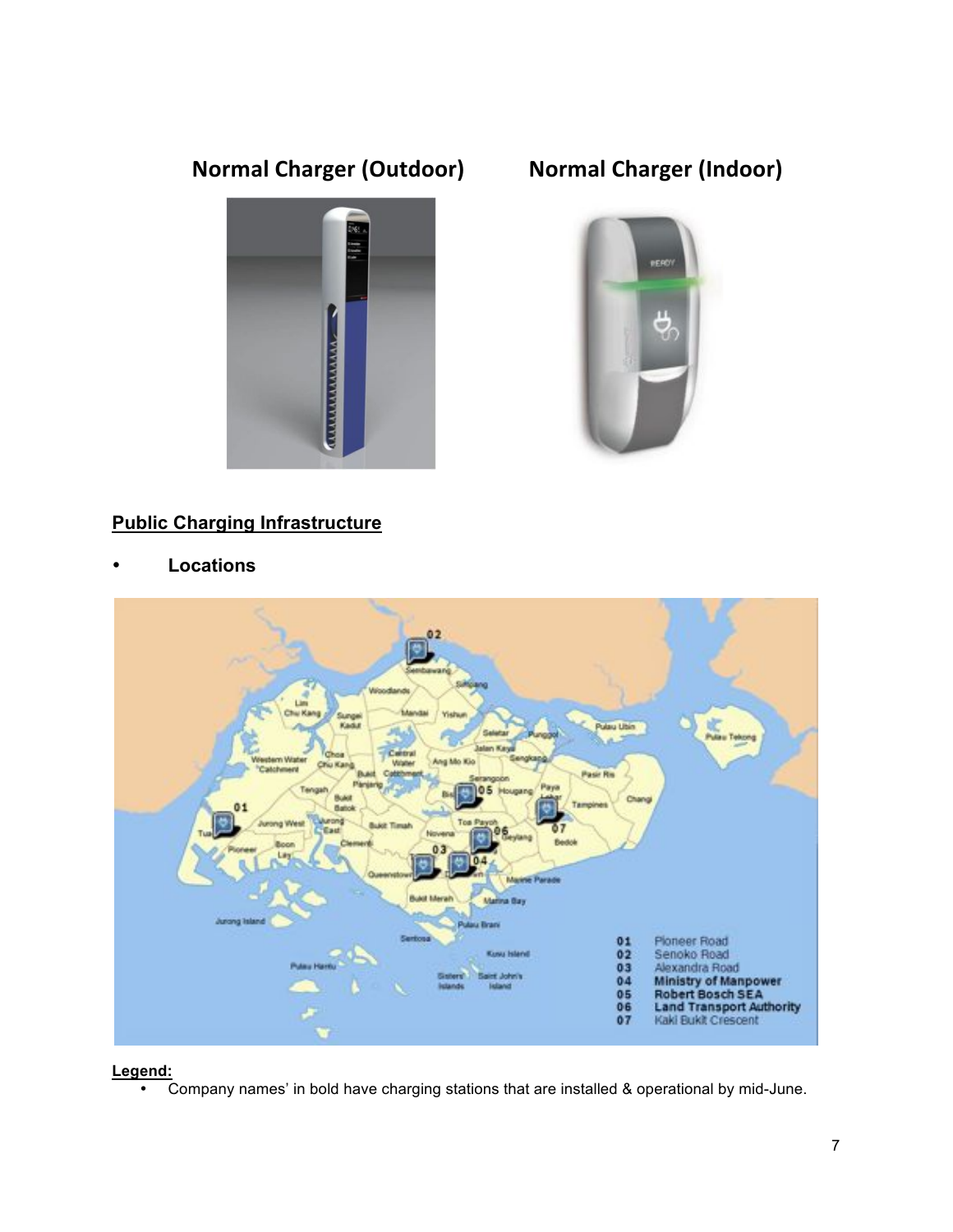# **Normal Charger (Outdoor) Normal Charger (Indoor)**





# **Public Charging Infrastructure**

• **Locations**



**Legend:**

• Company names' in bold have charging stations that are installed & operational by mid-June.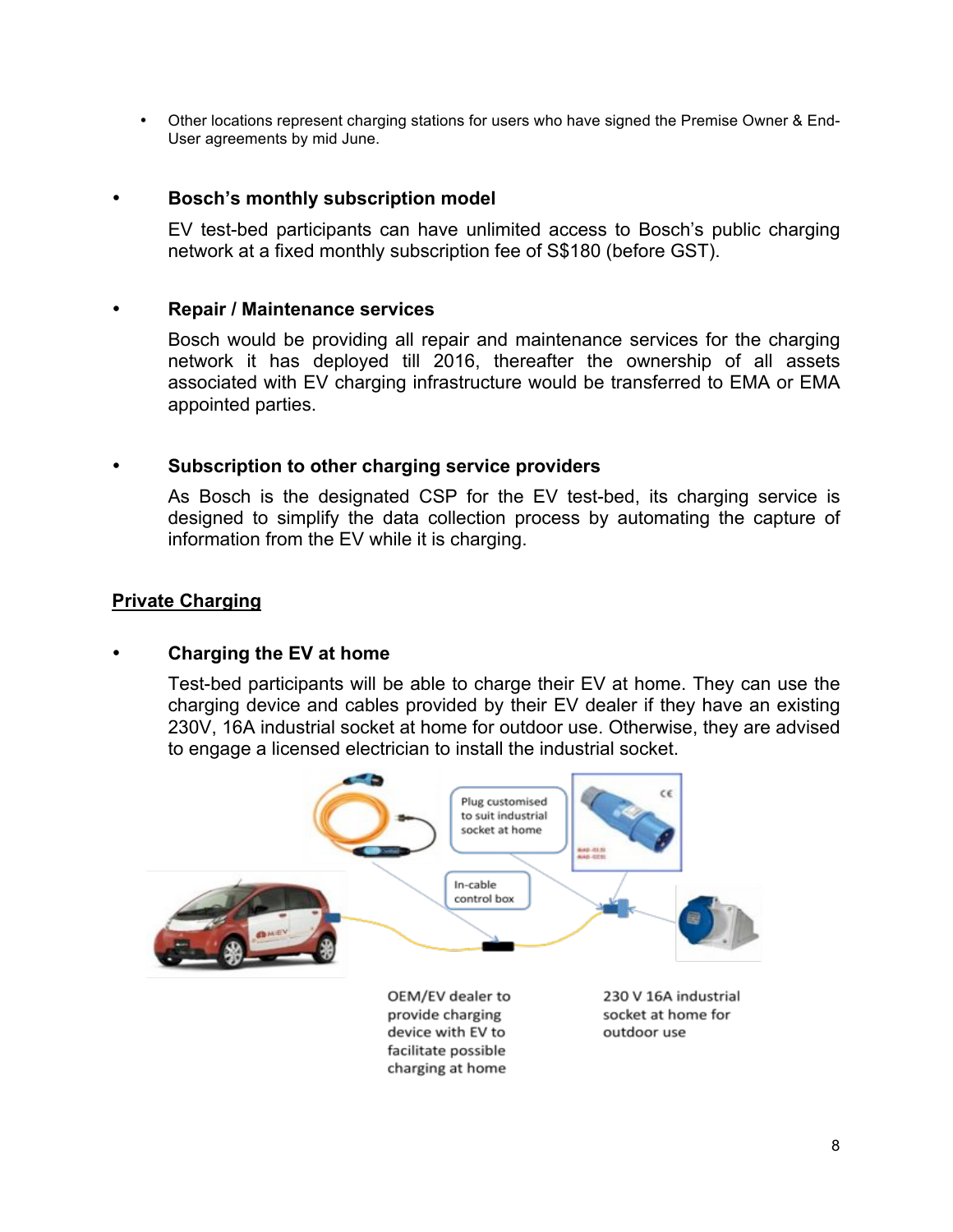• Other locations represent charging stations for users who have signed the Premise Owner & End-User agreements by mid June.

#### • **Bosch's monthly subscription model**

EV test-bed participants can have unlimited access to Bosch's public charging network at a fixed monthly subscription fee of S\$180 (before GST).

#### • **Repair / Maintenance services**

Bosch would be providing all repair and maintenance services for the charging network it has deployed till 2016, thereafter the ownership of all assets associated with EV charging infrastructure would be transferred to EMA or EMA appointed parties.

#### • **Subscription to other charging service providers**

As Bosch is the designated CSP for the EV test-bed, its charging service is designed to simplify the data collection process by automating the capture of information from the EV while it is charging.

#### **Private Charging**

#### • **Charging the EV at home**

Test-bed participants will be able to charge their EV at home. They can use the charging device and cables provided by their EV dealer if they have an existing 230V, 16A industrial socket at home for outdoor use. Otherwise, they are advised to engage a licensed electrician to install the industrial socket.

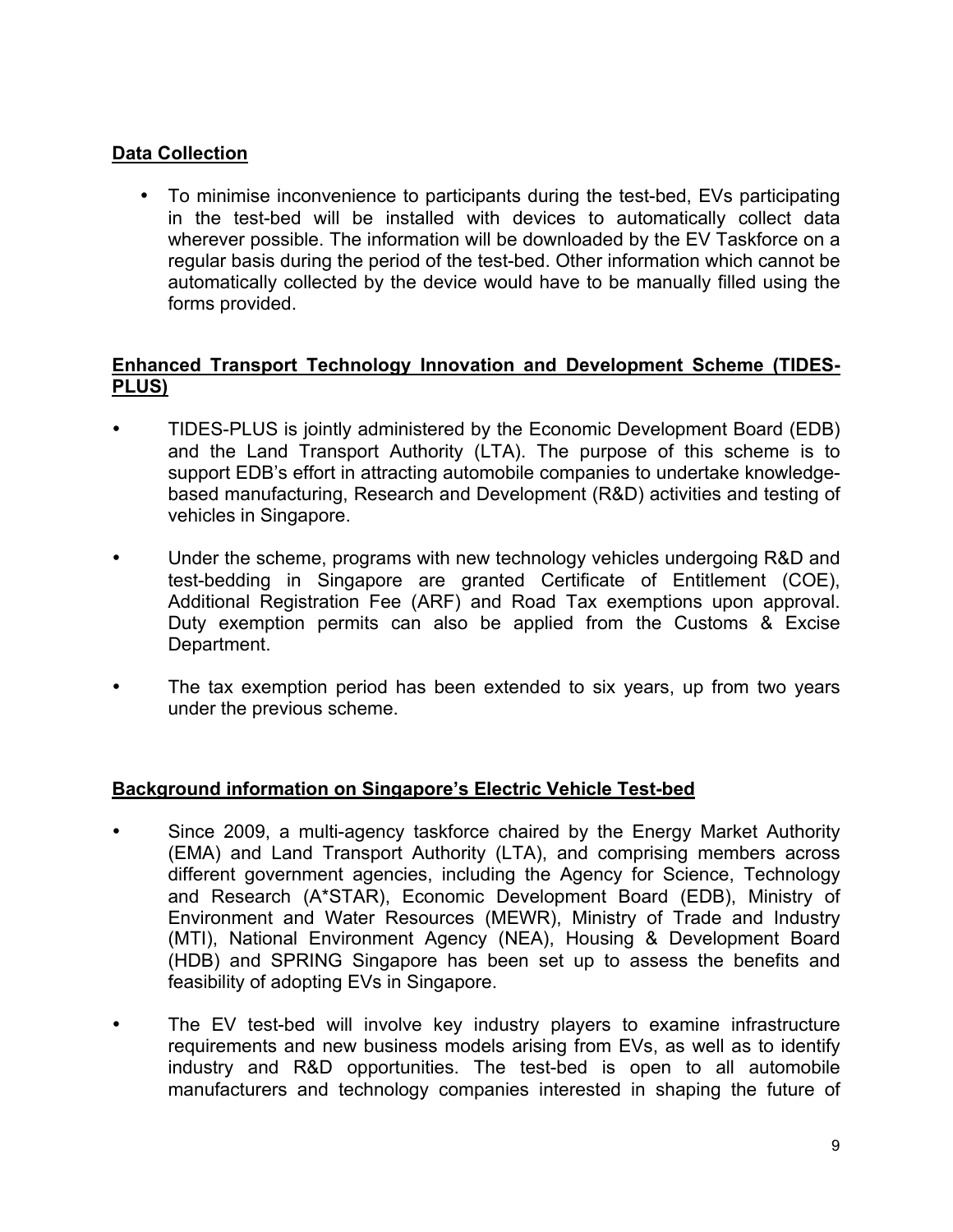# **Data Collection**

• To minimise inconvenience to participants during the test-bed, EVs participating in the test-bed will be installed with devices to automatically collect data wherever possible. The information will be downloaded by the EV Taskforce on a regular basis during the period of the test-bed. Other information which cannot be automatically collected by the device would have to be manually filled using the forms provided.

#### **Enhanced Transport Technology Innovation and Development Scheme (TIDES-PLUS)**

- TIDES-PLUS is jointly administered by the Economic Development Board (EDB) and the Land Transport Authority (LTA). The purpose of this scheme is to support EDB's effort in attracting automobile companies to undertake knowledgebased manufacturing, Research and Development (R&D) activities and testing of vehicles in Singapore.
- Under the scheme, programs with new technology vehicles undergoing R&D and test-bedding in Singapore are granted Certificate of Entitlement (COE), Additional Registration Fee (ARF) and Road Tax exemptions upon approval. Duty exemption permits can also be applied from the Customs & Excise Department.
- The tax exemption period has been extended to six years, up from two years under the previous scheme.

# **Background information on Singapore's Electric Vehicle Test-bed**

- Since 2009, a multi-agency taskforce chaired by the Energy Market Authority (EMA) and Land Transport Authority (LTA), and comprising members across different government agencies, including the Agency for Science, Technology and Research (A\*STAR), Economic Development Board (EDB), Ministry of Environment and Water Resources (MEWR), Ministry of Trade and Industry (MTI), National Environment Agency (NEA), Housing & Development Board (HDB) and SPRING Singapore has been set up to assess the benefits and feasibility of adopting EVs in Singapore.
- The EV test-bed will involve key industry players to examine infrastructure requirements and new business models arising from EVs, as well as to identify industry and R&D opportunities. The test-bed is open to all automobile manufacturers and technology companies interested in shaping the future of